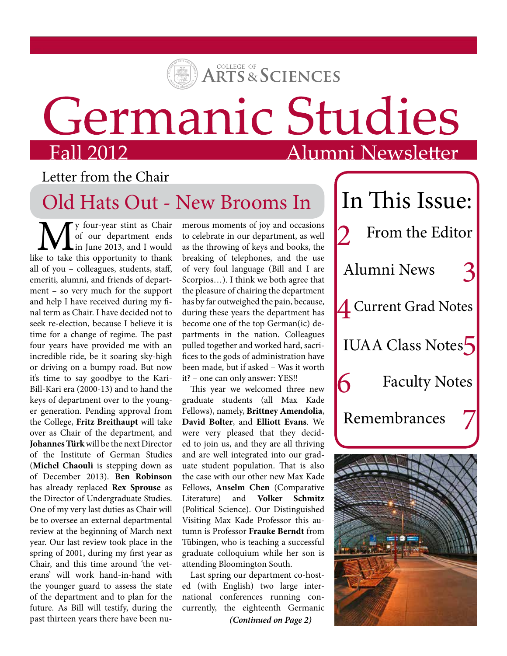

## Germanic Studies

## Alumni Newsletter

### Letter from the Chair

## Old Hats Out - New Brooms In

**M** y four-year stint as Chair<br>of our department ends<br>like to take this opportunity to thank of our department ends in June 2013, and I would all of you – colleagues, students, staff, emeriti, alumni, and friends of department – so very much for the support and help I have received during my final term as Chair. I have decided not to seek re-election, because I believe it is time for a change of regime. The past four years have provided me with an incredible ride, be it soaring sky-high or driving on a bumpy road. But now it's time to say goodbye to the Kari-Bill-Kari era (2000-13) and to hand the keys of department over to the younger generation. Pending approval from the College, **Fritz Breithaupt** will take over as Chair of the department, and **Johannes Türk** will be the next Director of the Institute of German Studies (**Michel Chaouli** is stepping down as of December 2013). **Ben Robinson** has already replaced **Rex Sprouse** as the Director of Undergraduate Studies. One of my very last duties as Chair will be to oversee an external departmental review at the beginning of March next year. Our last review took place in the spring of 2001, during my first year as Chair, and this time around 'the veterans' will work hand-in-hand with the younger guard to assess the state of the department and to plan for the future. As Bill will testify, during the past thirteen years there have been nu-

merous moments of joy and occasions to celebrate in our department, as well as the throwing of keys and books, the breaking of telephones, and the use of very foul language (Bill and I are Scorpios…). I think we both agree that the pleasure of chairing the department has by far outweighed the pain, because, during these years the department has become one of the top German(ic) departments in the nation. Colleagues pulled together and worked hard, sacrifices to the gods of administration have been made, but if asked – Was it worth it? – one can only answer: YES!!

This year we welcomed three new graduate students (all Max Kade Fellows), namely, **Brittney Amendolia**, **David Bolter**, and **Elliott Evans**. We were very pleased that they decided to join us, and they are all thriving and are well integrated into our graduate student population. That is also the case with our other new Max Kade Fellows, **Anselm Chen** (Comparative Literature) and **Volker Schmitz** (Political Science). Our Distinguished Visiting Max Kade Professor this autumn is Professor **Frauke Berndt** from Tübingen, who is teaching a successful graduate colloquium while her son is attending Bloomington South.

Last spring our department co-hosted (with English) two large international conferences running concurrently, the eighteenth Germanic

*(Continued on Page 2)*

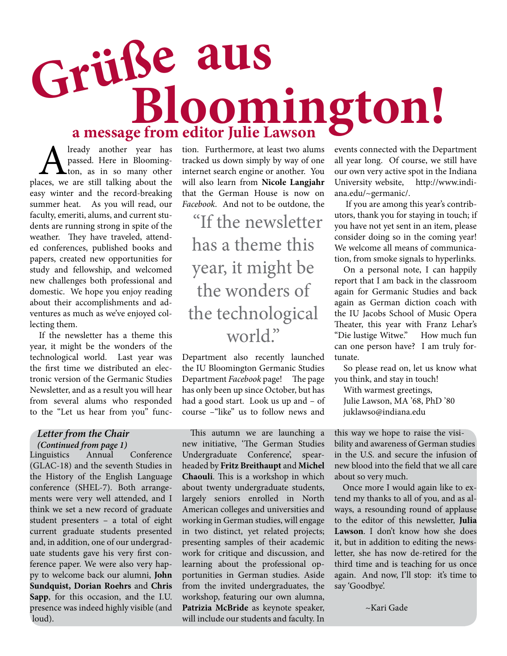# **Bloomington! Grüße aus a message from editor Julie Lawson**

**A** lready another year has passed. Here in Blooming-<br>hon, as in so many other places, we are still talking about the passed. Here in Bloomington, as in so many other easy winter and the record-breaking summer heat. As you will read, our faculty, emeriti, alums, and current students are running strong in spite of the weather. They have traveled, attended conferences, published books and papers, created new opportunities for study and fellowship, and welcomed new challenges both professional and domestic. We hope you enjoy reading about their accomplishments and adventures as much as we've enjoyed collecting them.

If the newsletter has a theme this year, it might be the wonders of the technological world. Last year was the first time we distributed an electronic version of the Germanic Studies Newsletter, and as a result you will hear from several alums who responded to the "Let us hear from you" func-

#### *(Continued from page 1) Letter from the Chair*

Linguistics Annual Conference (GLAC-18) and the seventh Studies in the History of the English Language conference (SHEL-7). Both arrangements were very well attended, and I think we set a new record of graduate student presenters – a total of eight current graduate students presented and, in addition, one of our undergraduate students gave his very first conference paper. We were also very happy to welcome back our alumni, **John Sundquist, Dorian Roehrs** and **Chris Sapp**, for this occasion, and the I.U. presence was indeed highly visible (and loud).

tion. Furthermore, at least two alums tracked us down simply by way of one internet search engine or another. You will also learn from **Nicole Langjahr** that the German House is now on *Facebook*. And not to be outdone, the

"If the newsletter has a theme this year, it might be the wonders of the technological world."

Department also recently launched the IU Bloomington Germanic Studies Department *Facebook* page! The page has only been up since October, but has had a good start. Look us up and – of course –"like" us to follow news and

This autumn we are launching a new initiative, 'The German Studies Undergraduate Conference', spearheaded by **Fritz Breithaupt** and **Michel Chaouli**. This is a workshop in which about twenty undergraduate students, largely seniors enrolled in North American colleges and universities and working in German studies, will engage in two distinct, yet related projects; presenting samples of their academic work for critique and discussion, and learning about the professional opportunities in German studies. Aside from the invited undergraduates, the workshop, featuring our own alumna, **Patrizia McBride** as keynote speaker, will include our students and faculty. In events connected with the Department all year long. Of course, we still have our own very active spot in the Indiana University website, http://www.indiana.edu/~germanic/.

 If you are among this year's contributors, thank you for staying in touch; if you have not yet sent in an item, please consider doing so in the coming year! We welcome all means of communication, from smoke signals to hyperlinks.

On a personal note, I can happily report that I am back in the classroom again for Germanic Studies and back again as German diction coach with the IU Jacobs School of Music Opera Theater, this year with Franz Lehar's "Die lustige Witwe." How much fun can one person have? I am truly fortunate.

So please read on, let us know what you think, and stay in touch!

With warmest greetings, Julie Lawson, MA '68, PhD '80 juklawso@indiana.edu

this way we hope to raise the visibility and awareness of German studies in the U.S. and secure the infusion of new blood into the field that we all care about so very much.

Once more I would again like to extend my thanks to all of you, and as always, a resounding round of applause to the editor of this newsletter, **Julia Lawson**. I don't know how she does it, but in addition to editing the newsletter, she has now de-retired for the third time and is teaching for us once again. And now, I'll stop: it's time to say 'Goodbye'.

~Kari Gade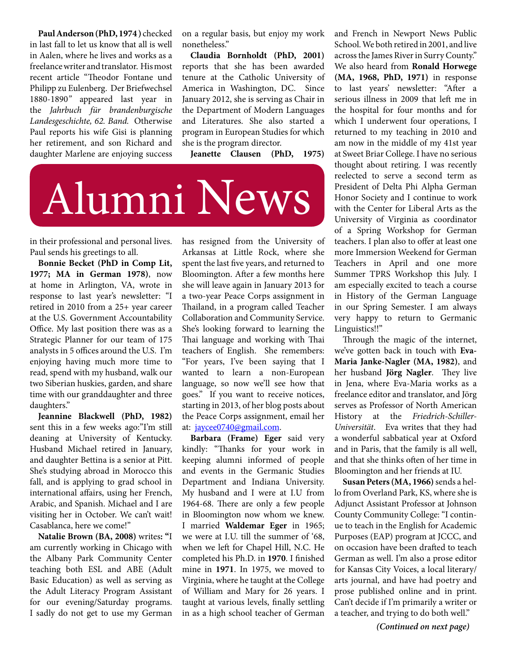**Paul Anderson (PhD, 1974 )** checked in last fall to let us know that all is well in Aalen, where he lives and works as a freelance writer and translator. His most recent article "Theodor Fontane und Philipp zu Eulenberg. Der Briefwechsel 1880-1890*"* appeared last year in the *Jahrbuch für brandenburgische Landesgeschichte, 62. Band.* Otherwise Paul reports his wife Gisi is planning her retirement, and son Richard and daughter Marlene are enjoying success

on a regular basis, but enjoy my work nonetheless."

**Claudia Bornholdt (PhD, 2001)** reports that she has been awarded tenure at the Catholic University of America in Washington, DC. Since January 2012, she is serving as Chair in the Department of Modern Languages and Literatures. She also started a program in European Studies for which she is the program director.

**Jeanette Clausen (PhD, 1975)**



in their professional and personal lives. Paul sends his greetings to all.

**Bonnie Becket (PhD in Comp Lit, 1977; MA in German 1978)**, now at home in Arlington, VA, wrote in response to last year's newsletter: "I retired in 2010 from a 25+ year career at the U.S. Government Accountability Office. My last position there was as a Strategic Planner for our team of 175 analysts in 5 offices around the U.S. I'm enjoying having much more time to read, spend with my husband, walk our two Siberian huskies, garden, and share time with our granddaughter and three daughters."

**Jeannine Blackwell (PhD, 1982)** sent this in a few weeks ago:"I'm still deaning at University of Kentucky. Husband Michael retired in January, and daughter Bettina is a senior at Pitt. She's studying abroad in Morocco this fall, and is applying to grad school in international affairs, using her French, Arabic, and Spanish. Michael and I are visiting her in October. We can't wait! Casablanca, here we come!"

**Natalie Brown (BA, 2008)** writes**: "**I am currently working in Chicago with the Albany Park Community Center teaching both ESL and ABE (Adult Basic Education) as well as serving as the Adult Literacy Program Assistant for our evening/Saturday programs. I sadly do not get to use my German

has resigned from the University of Arkansas at Little Rock, where she spent the last five years, and returned to Bloomington. After a few months here she will leave again in January 2013 for a two-year Peace Corps assignment in Thailand, in a program called Teacher Collaboration and Community Service. She's looking forward to learning the Thai language and working with Thai teachers of English. She remembers: "For years, I've been saying that I wanted to learn a non-European language, so now we'll see how that goes." If you want to receive notices, starting in 2013, of her blog posts about the Peace Corps assignment, email her at: jaycee0740@gmail.com.

**Barbara (Frame) Eger** said very kindly: "Thanks for your work in keeping alumni informed of people and events in the Germanic Studies Department and Indiana University. My husband and I were at I.U from 1964-68. There are only a few people in Bloomington now whom we knew. I married **Waldemar Eger** in 1965; we were at I.U. till the summer of '68, when we left for Chapel Hill, N.C. He completed his Ph.D. in **1970**. I finished mine in **1971**. In 1975, we moved to Virginia, where he taught at the College of William and Mary for 26 years. I taught at various levels, finally settling in as a high school teacher of German

and French in Newport News Public School. We both retired in 2001, and live across the James River in Surry County." We also heard from **Ronald Horwege (MA, 1968, PhD, 1971)** in response to last years' newsletter: "After a serious illness in 2009 that left me in the hospital for four months and for which I underwent four operations, I returned to my teaching in 2010 and am now in the middle of my 41st year at Sweet Briar College. I have no serious thought about retiring. I was recently reelected to serve a second term as President of Delta Phi Alpha German Honor Society and I continue to work with the Center for Liberal Arts as the University of Virginia as coordinator of a Spring Workshop for German teachers. I plan also to offer at least one more Immersion Weekend for German Teachers in April and one more Summer TPRS Workshop this July. I am especially excited to teach a course in History of the German Language in our Spring Semester. I am always very happy to return to Germanic Linguistics!!"

Through the magic of the internet, we've gotten back in touch with **Eva-Maria Janke-Nagler (MA, 1982)**, and her husband **Jörg Nagler**. They live in Jena, where Eva-Maria works as a freelance editor and translator, and Jörg serves as Professor of North American History at the *Friedrich-Schiller-Universität*. Eva writes that they had a wonderful sabbatical year at Oxford and in Paris, that the family is all well, and that she thinks often of her time in Bloomington and her friends at IU.

**Susan Peters (MA, 1966)** sends a hello from Overland Park, KS, where she is Adjunct Assistant Professor at Johnson County Community College: "I continue to teach in the English for Academic Purposes (EAP) program at JCCC, and on occasion have been drafted to teach German as well. I'm also a prose editor for Kansas City Voices, a local literary/ arts journal, and have had poetry and prose published online and in print. Can't decide if I'm primarily a writer or a teacher, and trying to do both well."

*(Continued on next page)*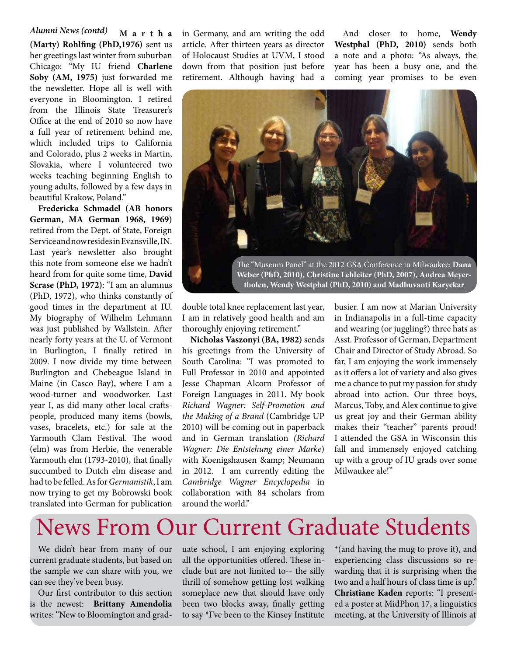**M a r t h a (Marty) Rohlfing (PhD,1976)** sent us her greetings last winter from suburban Chicago: "My IU friend **Charlene Soby (AM, 1975)** just forwarded me the newsletter. Hope all is well with everyone in Bloomington. I retired from the Illinois State Treasurer's Office at the end of 2010 so now have a full year of retirement behind me, which included trips to California and Colorado, plus 2 weeks in Martin, Slovakia, where I volunteered two weeks teaching beginning English to young adults, followed by a few days in beautiful Krakow, Poland." *Alumni News (contd)*

**Fredericka Schmadel (AB honors German, MA German 1968, 1969)**  retired from the Dept. of State, Foreign Service and now resides in Evansville, IN. Last year's newsletter also brought this note from someone else we hadn't heard from for quite some time, **David Scrase (PhD, 1972)**: "I am an alumnus (PhD, 1972), who thinks constantly of good times in the department at IU. My biography of Wilhelm Lehmann was just published by Wallstein. After nearly forty years at the U. of Vermont in Burlington, I finally retired in 2009. I now divide my time between Burlington and Chebeague Island in Maine (in Casco Bay), where I am a wood-turner and woodworker. Last year I, as did many other local craftspeople, produced many items (bowls, vases, bracelets, etc.) for sale at the Yarmouth Clam Festival. The wood (elm) was from Herbie, the venerable Yarmouth elm (1793-2010), that finally succumbed to Dutch elm disease and had to be felled. As for *Germanistik*, I am now trying to get my Bobrowski book translated into German for publication

in Germany, and am writing the odd article. After thirteen years as director of Holocaust Studies at UVM, I stood down from that position just before retirement. Although having had a

And closer to home, **Wendy Westphal (PhD, 2010)** sends both a note and a photo: "As always, the year has been a busy one, and the coming year promises to be even



double total knee replacement last year, I am in relatively good health and am thoroughly enjoying retirement."

**Nicholas Vaszonyi (BA, 1982)** sends his greetings from the University of South Carolina: "I was promoted to Full Professor in 2010 and appointed Jesse Chapman Alcorn Professor of Foreign Languages in 2011. My book *Richard Wagner: Self-Promotion and the Making of a Brand* (Cambridge UP 2010) will be coming out in paperback and in German translation *(Richard Wagner: Die Entstehung einer Marke*) with Koenigshausen & amp; Neumann in 2012. I am currently editing the *Cambridge Wagner Encyclopedia* in collaboration with 84 scholars from around the world"

busier. I am now at Marian University in Indianapolis in a full-time capacity and wearing (or juggling?) three hats as Asst. Professor of German, Department Chair and Director of Study Abroad. So far, I am enjoying the work immensely as it offers a lot of variety and also gives me a chance to put my passion for study abroad into action. Our three boys, Marcus, Toby, and Alex continue to give us great joy and their German ability makes their "teacher" parents proud! I attended the GSA in Wisconsin this fall and immensely enjoyed catching up with a group of IU grads over some Milwaukee ale!"

## News From Our Current Graduate Students

We didn't hear from many of our current graduate students, but based on the sample we can share with you, we can see they've been busy.

Our first contributor to this section is the newest: **Brittany Amendolia** writes: "New to Bloomington and graduate school, I am enjoying exploring all the opportunities offered. These include but are not limited to-- the silly thrill of somehow getting lost walking someplace new that should have only been two blocks away, finally getting to say \*I've been to the Kinsey Institute \*(and having the mug to prove it), and experiencing class discussions so rewarding that it is surprising when the two and a half hours of class time is up." **Christiane Kaden** reports: "I presented a poster at MidPhon 17, a linguistics meeting, at the University of Illinois at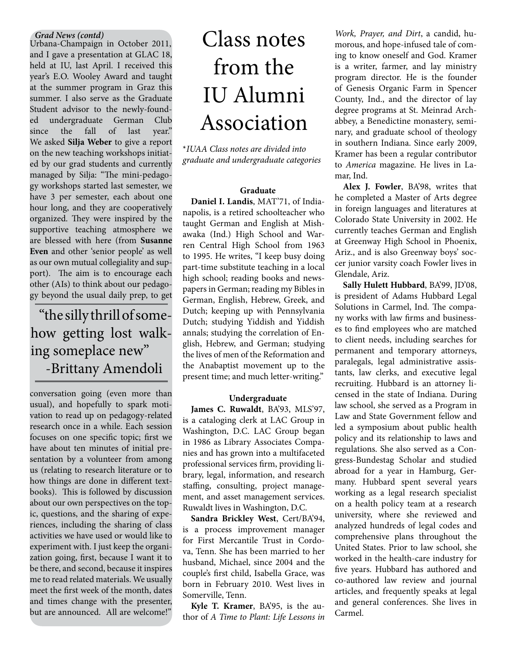Urbana-Champaign in October 2011, and I gave a presentation at GLAC 18, held at IU, last April. I received this year's E.O. Wooley Award and taught at the summer program in Graz this summer. I also serve as the Graduate Student advisor to the newly-founded undergraduate German Club since the fall of last year." We asked **Silja Weber** to give a report on the new teaching workshops initiated by our grad students and currently managed by Silja: "The mini-pedagogy workshops started last semester, we have 3 per semester, each about one hour long, and they are cooperatively organized. They were inspired by the supportive teaching atmosphere we are blessed with here (from **Susanne Even** and other 'senior people' as well as our own mutual collegiality and support). The aim is to encourage each other (AIs) to think about our pedagogy beyond the usual daily prep, to get

## "the silly thrill of somehow getting lost walking someplace new" -Brittany Amendoli

conversation going (even more than usual), and hopefully to spark motivation to read up on pedagogy-related research once in a while. Each session focuses on one specific topic; first we have about ten minutes of initial presentation by a volunteer from among us (relating to research literature or to how things are done in different textbooks). This is followed by discussion about our own perspectives on the topic, questions, and the sharing of experiences, including the sharing of class activities we have used or would like to experiment with. I just keep the organization going, first, because I want it to be there, and second, because it inspires me to read related materials. We usually meet the first week of the month, dates and times change with the presenter, but are announced. All are welcome!"

## *Grad News (contd)*<br>*Jrbana-Champaign in October 2011.* Class notes from the IU Alumni Association

\**IUAA Class notes are divided into graduate and undergraduate categories*

#### **Graduate**

**Daniel I. Landis**, MAT'71, of Indianapolis, is a retired schoolteacher who taught German and English at Mishawaka (Ind.) High School and Warren Central High School from 1963 to 1995. He writes, "I keep busy doing part-time substitute teaching in a local high school; reading books and newspapers in German; reading my Bibles in German, English, Hebrew, Greek, and Dutch; keeping up with Pennsylvania Dutch; studying Yiddish and Yiddish annals; studying the correlation of English, Hebrew, and German; studying the lives of men of the Reformation and the Anabaptist movement up to the present time; and much letter-writing."

#### **Undergraduate**

**James C. Ruwaldt**, BA'93, MLS'97, is a cataloging clerk at LAC Group in Washington, D.C. LAC Group began in 1986 as Library Associates Companies and has grown into a multifaceted professional services firm, providing library, legal, information, and research staffing, consulting, project management, and asset management services. Ruwaldt lives in Washington, D.C.

**Sandra Brickley West**, Cert/BA'94, is a process improvement manager for First Mercantile Trust in Cordova, Tenn. She has been married to her husband, Michael, since 2004 and the couple's first child, Isabella Grace, was born in February 2010. West lives in Somerville, Tenn.

**Kyle T. Kramer**, BA'95, is the author of *A Time to Plant: Life Lessons in* 

*Work, Prayer, and Dirt*, a candid, humorous, and hope-infused tale of coming to know oneself and God. Kramer is a writer, farmer, and lay ministry program director. He is the founder of Genesis Organic Farm in Spencer County, Ind., and the director of lay degree programs at St. Meinrad Archabbey, a Benedictine monastery, seminary, and graduate school of theology in southern Indiana. Since early 2009, Kramer has been a regular contributor to *America* magazine. He lives in Lamar, Ind.

**Alex J. Fowler**, BA'98, writes that he completed a Master of Arts degree in foreign languages and literatures at Colorado State University in 2002. He currently teaches German and English at Greenway High School in Phoenix, Ariz., and is also Greenway boys' soccer junior varsity coach Fowler lives in Glendale, Ariz.

**Sally Hulett Hubbard**, BA'99, JD'08, is president of Adams Hubbard Legal Solutions in Carmel, Ind. The company works with law firms and businesses to find employees who are matched to client needs, including searches for permanent and temporary attorneys, paralegals, legal administrative assistants, law clerks, and executive legal recruiting. Hubbard is an attorney licensed in the state of Indiana. During law school, she served as a Program in Law and State Government fellow and led a symposium about public health policy and its relationship to laws and regulations. She also served as a Congress-Bundestag Scholar and studied abroad for a year in Hamburg, Germany. Hubbard spent several years working as a legal research specialist on a health policy team at a research university, where she reviewed and analyzed hundreds of legal codes and comprehensive plans throughout the United States. Prior to law school, she worked in the health-care industry for five years. Hubbard has authored and co-authored law review and journal articles, and frequently speaks at legal and general conferences. She lives in Carmel.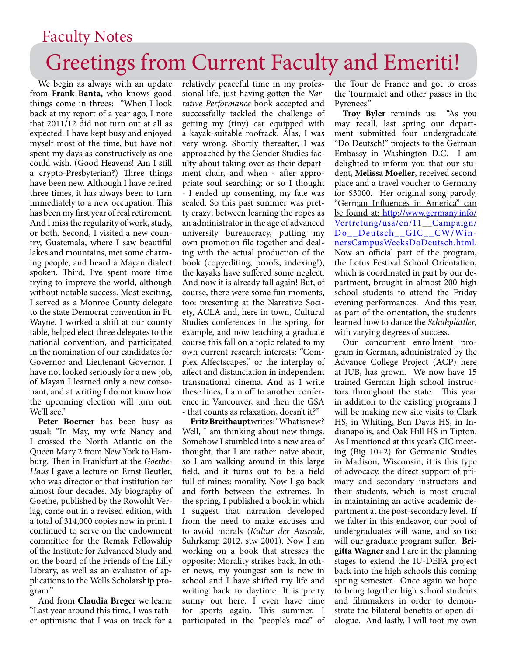## Greetings from Current Faculty and Emeriti! Faculty Notes

We begin as always with an update from **Frank Banta,** who knows good things come in threes: "When I look back at my report of a year ago, I note that 2011/12 did not turn out at all as expected. I have kept busy and enjoyed myself most of the time, but have not spent my days as constructively as one could wish. (Good Heavens! Am I still a crypto-Presbyterian?) Three things have been new. Although I have retired three times, it has always been to turn immediately to a new occupation. This has been my first year of real retirement. And I miss the regularity of work, study, or both. Second, I visited a new country, Guatemala, where I saw beautiful lakes and mountains, met some charming people, and heard a Mayan dialect spoken. Third, I've spent more time trying to improve the world, although without notable success. Most exciting, I served as a Monroe County delegate to the state Democrat convention in Ft. Wayne. I worked a shift at our county table, helped elect three delegates to the national convention, and participated in the nomination of our candidates for Governor and Lieutenant Governor. I have not looked seriously for a new job, of Mayan I learned only a new consonant, and at writing I do not know how the upcoming election will turn out. We'll see."

**Peter Boerner** has been busy as usual: "In May, my wife Nancy and I crossed the North Atlantic on the Queen Mary 2 from New York to Hamburg. Then in Frankfurt at the *Goethe-Haus* I gave a lecture on Ernst Beutler, who was director of that institution for almost four decades. My biography of Goethe, published by the Rowohlt Verlag, came out in a revised edition, with a total of 314,000 copies now in print. I continued to serve on the endowment committee for the Remak Fellowship of the Institute for Advanced Study and on the board of the Friends of the Lilly Library, as well as an evaluator of applications to the Wells Scholarship program."

And from **Claudia Breger** we learn: "Last year around this time, I was rather optimistic that I was on track for a relatively peaceful time in my professional life, just having gotten the *Narrative Performance* book accepted and successfully tackled the challenge of getting my (tiny) car equipped with a kayak-suitable roofrack. Alas, I was very wrong. Shortly thereafter, I was approached by the Gender Studies faculty about taking over as their department chair, and when - after appropriate soul searching; or so I thought - I ended up consenting, my fate was sealed. So this past summer was pretty crazy; between learning the ropes as an administrator in the age of advanced university bureaucracy, putting my own promotion file together and dealing with the actual production of the book (copyediting, proofs, indexing!), the kayaks have suffered some neglect. And now it is already fall again! But, of course, there were some fun moments, too: presenting at the Narrative Society, ACLA and, here in town, Cultural Studies conferences in the spring, for example, and now teaching a graduate course this fall on a topic related to my own current research interests: "Complex Affectscapes," or the interplay of affect and distanciation in independent transnational cinema. And as I write these lines, I am off to another conference in Vancouver, and then the GSA - that counts as relaxation, doesn't it?"

**Fritz Breithaupt** writes: "What is new? Well, I am thinking about new things. Somehow I stumbled into a new area of thought, that I am rather naive about, so I am walking around in this large field, and it turns out to be a field full of mines: morality. Now I go back and forth between the extremes. In the spring, I published a book in which I suggest that narration developed from the need to make excuses and to avoid morals (*Kultur der Ausrede*, Suhrkamp 2012, stw 2001). Now I am working on a book that stresses the opposite: Morality strikes back. In other news, my youngest son is now in school and I have shifted my life and writing back to daytime. It is pretty sunny out here. I even have time for sports again. This summer, I participated in the "people's race" of the Tour de France and got to cross the Tourmalet and other passes in the Pyrenees."

**Troy Byler** reminds us: "As you may recall, last spring our department submitted four undergraduate "Do Deutsch!" projects to the German Embassy in Washington D.C. I am delighted to inform you that our student, **Melissa Moeller**, received second place and a travel voucher to Germany for \$3000. Her original song parody, "German Influences in America" can be found at: http://www.germany.info/ Vertretung/usa/en/11\_\_Campaign/ Do\_\_Deutsch\_\_GIC\_\_CW/WinnersCampusWeeksDoDeutsch.html. Now an official part of the program, the Lotus Festival School Orientation, which is coordinated in part by our department, brought in almost 200 high school students to attend the Friday evening performances. And this year, as part of the orientation, the students learned how to dance the *Schuhplattler*, with varying degrees of success.

Our concurrent enrollment program in German, administrated by the Advance College Project (ACP) here at IUB, has grown. We now have 15 trained German high school instructors throughout the state. This year in addition to the existing programs I will be making new site visits to Clark HS, in Whiting, Ben Davis HS, in Indianapolis, and Oak Hill HS in Tipton. As I mentioned at this year's CIC meeting (Big 10+2) for Germanic Studies in Madison, Wisconsin, it is this type of advocacy, the direct support of primary and secondary instructors and their students, which is most crucial in maintaining an active academic department at the post-secondary level. If we falter in this endeavor, our pool of undergraduates will wane, and so too will our graduate program suffer. **Brigitta Wagner** and I are in the planning stages to extend the IU-DEFA project back into the high schools this coming spring semester. Once again we hope to bring together high school students and filmmakers in order to demonstrate the bilateral benefits of open dialogue. And lastly, I will toot my own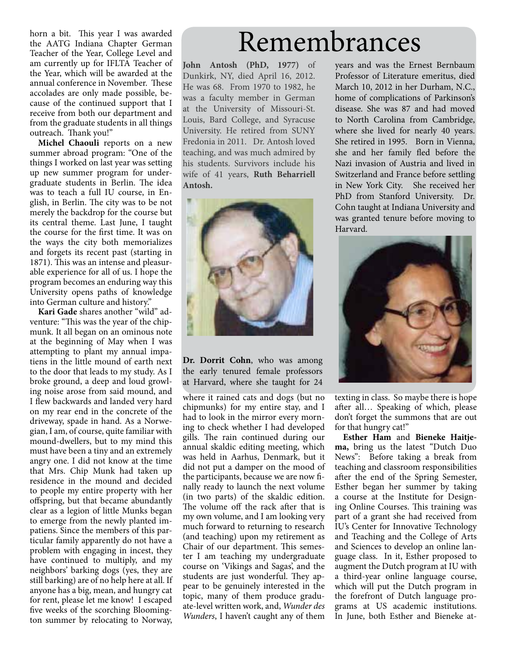horn a bit. This year I was awarded the AATG Indiana Chapter German Teacher of the Year, College Level and am currently up for IFLTA Teacher of the Year, which will be awarded at the annual conference in November. These accolades are only made possible, because of the continued support that I receive from both our department and from the graduate students in all things outreach. Thank you!"

**Michel Chaouli** reports on a new summer abroad program: "One of the things I worked on last year was setting up new summer program for undergraduate students in Berlin. The idea was to teach a full IU course, in English, in Berlin. The city was to be not merely the backdrop for the course but its central theme. Last June, I taught the course for the first time. It was on the ways the city both memorializes and forgets its recent past (starting in 1871). This was an intense and pleasurable experience for all of us. I hope the program becomes an enduring way this University opens paths of knowledge into German culture and history."

**Kari Gade** shares another "wild" adventure: "This was the year of the chipmunk. It all began on an ominous note at the beginning of May when I was attempting to plant my annual impatiens in the little mound of earth next to the door that leads to my study. As I broke ground, a deep and loud growling noise arose from said mound, and I flew backwards and landed very hard on my rear end in the concrete of the driveway, spade in hand. As a Norwegian, I am, of course, quite familiar with mound-dwellers, but to my mind this must have been a tiny and an extremely angry one. I did not know at the time that Mrs. Chip Munk had taken up residence in the mound and decided to people my entire property with her offspring, but that became abundantly clear as a legion of little Munks began to emerge from the newly planted impatiens. Since the members of this particular family apparently do not have a problem with engaging in incest, they have continued to multiply, and my neighbors' barking dogs (yes, they are still barking) are of no help here at all. If anyone has a big, mean, and hungry cat for rent, please let me know! I escaped five weeks of the scorching Bloomington summer by relocating to Norway,

## Remembrances

**John Antosh (PhD, 1977)** of Dunkirk, NY, died April 16, 2012. He was 68. From 1970 to 1982, he was a faculty member in German at the University of Missouri-St. Louis, Bard College, and Syracuse University. He retired from SUNY Fredonia in 2011. Dr. Antosh loved teaching, and was much admired by his students. Survivors include his wife of 41 years, **Ruth Beharriell Antosh.**



**Dr. Dorrit Cohn**, who was among the early tenured female professors at Harvard, where she taught for 24

where it rained cats and dogs (but no chipmunks) for my entire stay, and I had to look in the mirror every morning to check whether I had developed gills. The rain continued during our annual skaldic editing meeting, which was held in Aarhus, Denmark, but it did not put a damper on the mood of the participants, because we are now finally ready to launch the next volume (in two parts) of the skaldic edition. The volume off the rack after that is my own volume, and I am looking very much forward to returning to research (and teaching) upon my retirement as Chair of our department. This semester I am teaching my undergraduate course on 'Vikings and Sagas', and the students are just wonderful. They appear to be genuinely interested in the topic, many of them produce graduate-level written work, and, *Wunder des Wunders*, I haven't caught any of them

years and was the Ernest Bernbaum Professor of Literature emeritus, died March 10, 2012 in her Durham, N.C., home of complications of Parkinson's disease. She was 87 and had moved to North Carolina from Cambridge, where she lived for nearly 40 years. She retired in 1995. Born in Vienna, she and her family fled before the Nazi invasion of Austria and lived in Switzerland and France before settling in New York City. She received her PhD from Stanford University. Dr. Cohn taught at Indiana University and was granted tenure before moving to Harvard.



texting in class. So maybe there is hope after all… Speaking of which, please don't forget the summons that are out for that hungry cat!"

**Esther Ham** and **Bieneke Haitjema,** bring us the latest "Dutch Duo News": Before taking a break from teaching and classroom responsibilities after the end of the Spring Semester, Esther began her summer by taking a course at the Institute for Designing Online Courses. This training was part of a grant she had received from IU's Center for Innovative Technology and Teaching and the College of Arts and Sciences to develop an online language class. In it, Esther proposed to augment the Dutch program at IU with a third-year online language course, which will put the Dutch program in the forefront of Dutch language programs at US academic institutions. In June, both Esther and Bieneke at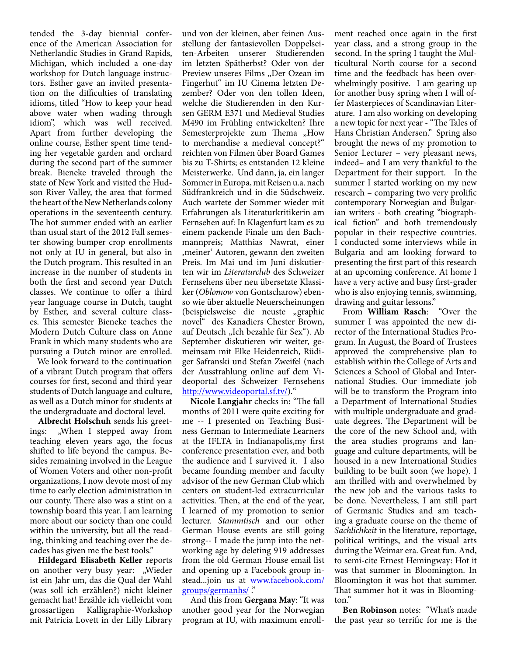tended the 3-day biennial conference of the American Association for Netherlandic Studies in Grand Rapids, Michigan, which included a one-day workshop for Dutch language instructors. Esther gave an invited presentation on the difficulties of translating idioms, titled "How to keep your head above water when wading through idiom", which was well received. Apart from further developing the online course, Esther spent time tending her vegetable garden and orchard during the second part of the summer break. Bieneke traveled through the state of New York and visited the Hudson River Valley, the area that formed the heart of the New Netherlands colony operations in the seventeenth century. The hot summer ended with an earlier than usual start of the 2012 Fall semester showing bumper crop enrollments not only at IU in general, but also in the Dutch program. This resulted in an increase in the number of students in both the first and second year Dutch classes. We continue to offer a third year language course in Dutch, taught by Esther, and several culture classes. This semester Bieneke teaches the Modern Dutch Culture class on Anne Frank in which many students who are pursuing a Dutch minor are enrolled.

 We look forward to the continuation of a vibrant Dutch program that offers courses for first, second and third year students of Dutch language and culture, as well as a Dutch minor for students at the undergraduate and doctoral level.

**Albrecht Holschuh** sends his greetings: "When I stepped away from teaching eleven years ago, the focus shifted to life beyond the campus. Besides remaining involved in the League of Women Voters and other non-profit organizations, I now devote most of my time to early election administration in our county. There also was a stint on a township board this year. I am learning more about our society than one could within the university, but all the reading, thinking and teaching over the decades has given me the best tools."

**Hildegard Elisabeth Keller** reports on another very busy year: "Wieder ist ein Jahr um, das die Qual der Wahl (was soll ich erzählen?) nicht kleiner gemacht hat! Erzähle ich vielleicht vom grossartigen Kalligraphie-Workshop mit Patricia Lovett in der Lilly Library und von der kleinen, aber feinen Ausstellung der fantasievollen Doppelseiten-Arbeiten unserer Studierenden im letzten Spätherbst? Oder von der Preview unseres Films "Der Ozean im Fingerhut" im IU Cinema letzten Dezember? Oder von den tollen Ideen, welche die Studierenden in den Kursen GERM E371 und Medieval Studies M490 im Frühling entwickelten? Ihre Semesterprojekte zum Thema "How to merchandise a medieval concept?" reichten von Filmen über Board Games bis zu T-Shirts; es entstanden 12 kleine Meisterwerke. Und dann, ja, ein langer Sommer in Europa, mit Reisen u.a. nach Südfrankreich und in die Südschweiz. Auch wartete der Sommer wieder mit Erfahrungen als Literaturkritikerin am Fernsehen auf: In Klagenfurt kam es zu einem packende Finale um den Bachmannpreis; Matthias Nawrat, einer 'meiner' Autoren, gewann den zweiten Preis. Im Mai und im Juni diskutierten wir im *Literaturclub* des Schweizer Fernsehens über neu übersetzte Klassiker (*Oblomow* von Gontscharow) ebenso wie über aktuelle Neuerscheinungen (beispielsweise die neuste "graphic novel" des Kanadiers Chester Brown, auf Deutsch "Ich bezahle für Sex"). Ab September diskutieren wir weiter, gemeinsam mit Elke Heidenreich, Rüdiger Safranski und Stefan Zweifel (nach der Ausstrahlung online auf dem Videoportal des Schweizer Fernsehens http://www.videoportal.sf.tv/)."

**Nicole Langjahr** checks in**:** "The fall months of 2011 were quite exciting for me -- I presented on Teaching Business German to Intermediate Learners at the IFLTA in Indianapolis,my first conference presentation ever, and both the audience and I survived it. I also became founding member and faculty advisor of the new German Club which centers on student-led extracurricular activities. Then, at the end of the year, I learned of my promotion to senior lecturer. *Stammtisch* and our other German House events are still going strong-- I made the jump into the networking age by deleting 919 addresses from the old German House email list and opening up a Facebook group instead...join us at www.facebook.com/ groups/germanhs/ ."

And this from **Gergana May**: "It was another good year for the Norwegian program at IU, with maximum enroll-

ment reached once again in the first year class, and a strong group in the second. In the spring I taught the Multicultural North course for a second time and the feedback has been overwhelmingly positive. I am gearing up for another busy spring when I will offer Masterpieces of Scandinavian Literature. I am also working on developing a new topic for next year - "The Tales of Hans Christian Andersen." Spring also brought the news of my promotion to Senior Lecturer – very pleasant news, indeed– and I am very thankful to the Department for their support. In the summer I started working on my new research – comparing two very prolific contemporary Norwegian and Bulgarian writers - both creating "biographical fiction" and both tremendously popular in their respective countries. I conducted some interviews while in Bulgaria and am looking forward to presenting the first part of this research at an upcoming conference. At home I have a very active and busy first-grader who is also enjoying tennis, swimming, drawing and guitar lessons."

From **William Rasch**: "Over the summer I was appointed the new director of the International Studies Program. In August, the Board of Trustees approved the comprehensive plan to establish within the College of Arts and Sciences a School of Global and International Studies. Our immediate job will be to transform the Program into a Department of International Studies with multiple undergraduate and graduate degrees. The Department will be the core of the new School and, with the area studies programs and language and culture departments, will be housed in a new International Studies building to be built soon (we hope). I am thrilled with and overwhelmed by the new job and the various tasks to be done. Nevertheless, I am still part of Germanic Studies and am teaching a graduate course on the theme of *Sachlichkeit* in the literature, reportage, political writings, and the visual arts during the Weimar era. Great fun. And, to semi-cite Ernest Hemingway: Hot it was that summer in Bloomington. In Bloomington it was hot that summer. That summer hot it was in Bloomington."

**Ben Robinson** notes: "What's made the past year so terrific for me is the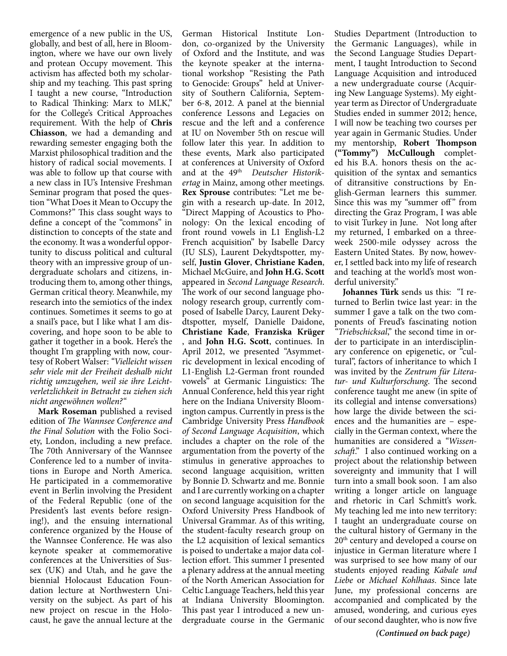emergence of a new public in the US, globally, and best of all, here in Bloomington, where we have our own lively and protean Occupy movement. This activism has affected both my scholarship and my teaching. This past spring I taught a new course, "Introduction to Radical Thinking: Marx to MLK," for the College's Critical Approaches requirement. With the help of **Chris Chiasson**, we had a demanding and rewarding semester engaging both the Marxist philosophical tradition and the history of radical social movements. I was able to follow up that course with a new class in IU's Intensive Freshman Seminar program that posed the question "What Does it Mean to Occupy the Commons?" This class sought ways to define a concept of the "commons" in distinction to concepts of the state and the economy. It was a wonderful opportunity to discuss political and cultural theory with an impressive group of undergraduate scholars and citizens, introducing them to, among other things, German critical theory. Meanwhile, my research into the semiotics of the index continues. Sometimes it seems to go at a snail's pace, but I like what I am discovering, and hope soon to be able to gather it together in a book. Here's the thought I'm grappling with now, courtesy of Robert Walser: *"Vielleicht wissen sehr viele mit der Freiheit deshalb nicht richtig umzugehen, weil sie ihre Leichtverletzlichkeit in Betracht zu ziehen sich nicht angewöhnen wollen?"*

**Mark Roseman** published a revised edition of *The Wannsee Conference and the Final Solution* with the Folio Society, London, including a new preface. The 70th Anniversary of the Wannsee Conference led to a number of invitations in Europe and North America. He participated in a commemorative event in Berlin involving the President of the Federal Republic (one of the President's last events before resigning!), and the ensuing international conference organized by the House of the Wannsee Conference. He was also keynote speaker at commemorative conferences at the Universities of Sussex (UK) and Utah, and he gave the biennial Holocaust Education Foundation lecture at Northwestern University on the subject. As part of his new project on rescue in the Holocaust, he gave the annual lecture at the

German Historical Institute London, co-organized by the University of Oxford and the Institute, and was the keynote speaker at the international workshop "Resisting the Path to Genocide: Groups" held at University of Southern California, September 6-8, 2012. A panel at the biennial conference Lessons and Legacies on rescue and the left and a conference at IU on November 5th on rescue will follow later this year. In addition to these events, Mark also participated at conferences at University of Oxford and at the 49<sup>th</sup> Deutscher Historik*ertag* in Mainz, among other meetings. **Rex Sprouse** contributes: "Let me begin with a research up-date. In 2012, "Direct Mapping of Acoustics to Phonology: On the lexical encoding of front round vowels in L1 English-L2 French acquisition" by Isabelle Darcy (IU SLS), Laurent Dekydtspotter, myself, **Justin Glover**, **Christiane Kaden**, Michael McGuire, and **John H.G. Scott** appeared in *Second Language Research*. The work of our second language phonology research group, currently composed of Isabelle Darcy, Laurent Dekydtspotter, myself, Danielle Daidone, **Christiane Kade**, **Franziska Krüger** , and **John H.G. Scott**, continues. In April 2012, we presented "Asymmetric development in lexical encoding of L1-English L2-German front rounded vowels" at Germanic Linguistics: The Annual Conference, held this year right here on the Indiana University Bloomington campus. Currently in press is the Cambridge University Press *Handbook of Second Language Acquisition*, which includes a chapter on the role of the argumentation from the poverty of the stimulus in generative approaches to second language acquisition, written by Bonnie D. Schwartz and me. Bonnie and I are currently working on a chapter on second language acquisition for the Oxford University Press Handbook of Universal Grammar. As of this writing, the student-faculty research group on the L2 acquisition of lexical semantics is poised to undertake a major data collection effort. This summer I presented a plenary address at the annual meeting of the North American Association for Celtic Language Teachers, held this year at Indiana University Bloomington. This past year I introduced a new undergraduate course in the Germanic

Studies Department (Introduction to the Germanic Languages), while in the Second Language Studies Department, I taught Introduction to Second Language Acquisition and introduced a new undergraduate course (Acquiring New Language Systems). My eightyear term as Director of Undergraduate Studies ended in summer 2012; hence, I will now be teaching two courses per year again in Germanic Studies. Under my mentorship, **Robert Thompson ("Tommy") McCullough** completed his B.A. honors thesis on the acquisition of the syntax and semantics of ditransitive constructions by English-German learners this summer. Since this was my "summer off" from directing the Graz Program, I was able to visit Turkey in June. Not long after my returned, I embarked on a threeweek 2500-mile odyssey across the Eastern United States. By now, however, I settled back into my life of research and teaching at the world's most wonderful university."

**Johannes Türk** sends us this: "I returned to Berlin twice last year: in the summer I gave a talk on the two components of Freud's fascinating notion *"Triebschicksal*," the second time in order to participate in an interdisciplinary conference on epigenetic, or "cultural", factors of inheritance to which I was invited by the *Zentrum für Literatur- und Kulturforschung*. The second conference taught me anew (in spite of its collegial and intense conversations) how large the divide between the sciences and the humanities are – especially in the German context, where the humanities are considered a *"Wissenschaft*." I also continued working on a project about the relationship between sovereignty and immunity that I will turn into a small book soon. I am also writing a longer article on language and rhetoric in Carl Schmitt's work. My teaching led me into new territory: I taught an undergraduate course on the cultural history of Germany in the 20<sup>th</sup> century and developed a course on injustice in German literature where I was surprised to see how many of our students enjoyed reading *Kabale und Liebe* or *Michael Kohlhaas*. Since late June, my professional concerns are accompanied and complicated by the amused, wondering, and curious eyes of our second daughter, who is now five